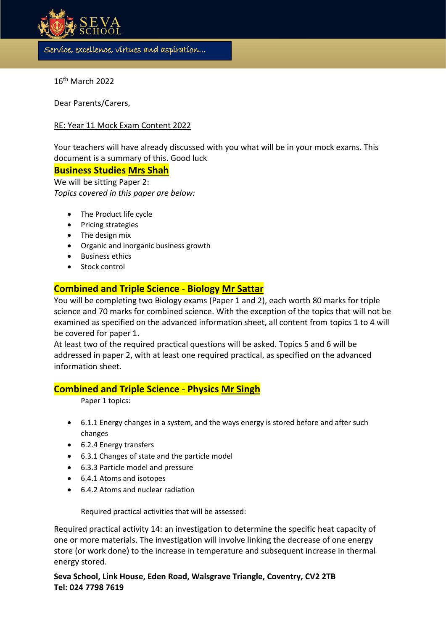

16th March 2022

Dear Parents/Carers,

#### RE: Year 11 Mock Exam Content 2022

Your teachers will have already discussed with you what will be in your mock exams. This document is a summary of this. Good luck

s

#### **Business Studies Mrs Shah**

We will be sitting Paper 2: *Topics covered in this paper are below:*

- The Product life cycle
- Pricing strategies
- The design mix
- Organic and inorganic business growth
- Business ethics
- Stock control

### **Combined and Triple Science** - **Biology Mr Sattar**

You will be completing two Biology exams (Paper 1 and 2), each worth 80 marks for triple science and 70 marks for combined science. With the exception of the topics that will not be examined as specified on the advanced information sheet, all content from topics 1 to 4 will be covered for paper 1.

At least two of the required practical questions will be asked. Topics 5 and 6 will be addressed in paper 2, with at least one required practical, as specified on the advanced information sheet.

### **Combined and Triple Science** - **Physics Mr Singh**

Paper 1 topics:

- 6.1.1 Energy changes in a system, and the ways energy is stored before and after such changes
- 6.2.4 Energy transfers
- 6.3.1 Changes of state and the particle model
- 6.3.3 Particle model and pressure
- 6.4.1 Atoms and isotopes
- 6.4.2 Atoms and nuclear radiation

Required practical activities that will be assessed:

Required practical activity 14: an investigation to determine the specific heat capacity of one or more materials. The investigation will involve linking the decrease of one energy store (or work done) to the increase in temperature and subsequent increase in thermal energy stored.

**Seva School, Link House, Eden Road, Walsgrave Triangle, Coventry, CV2 2TB Tel: 024 7798 7619**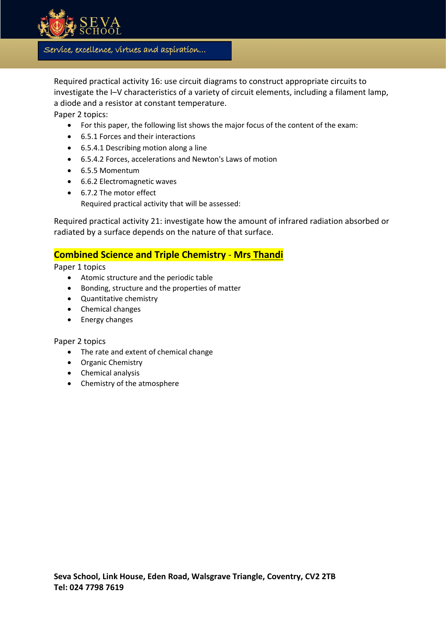

Required practical activity 16: use circuit diagrams to construct appropriate circuits to investigate the I–V characteristics of a variety of circuit elements, including a filament lamp, a diode and a resistor at constant temperature.

s

Paper 2 topics:

- For this paper, the following list shows the major focus of the content of the exam:
- 6.5.1 Forces and their interactions
- 6.5.4.1 Describing motion along a line
- 6.5.4.2 Forces, accelerations and Newton's Laws of motion
- 6.5.5 Momentum
- 6.6.2 Electromagnetic waves
- 6.7.2 The motor effect Required practical activity that will be assessed:

Required practical activity 21: investigate how the amount of infrared radiation absorbed or radiated by a surface depends on the nature of that surface.

## **Combined Science and Triple Chemistry** - **Mrs Thandi**

Paper 1 topics

- Atomic structure and the periodic table
- Bonding, structure and the properties of matter
- Quantitative chemistry
- Chemical changes
- Energy changes

Paper 2 topics

- The rate and extent of chemical change
- Organic Chemistry
- Chemical analysis
- Chemistry of the atmosphere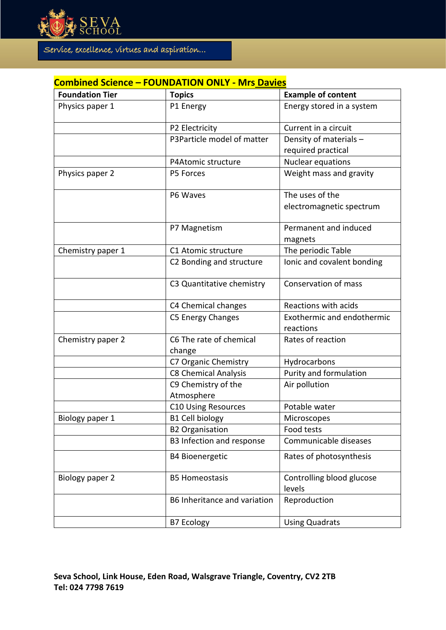

# **Combined Science – FOUNDATION ONLY - Mrs Davies**

| <b>Foundation Tier</b> | <b>Topics</b>                     | <b>Example of content</b>               |
|------------------------|-----------------------------------|-----------------------------------------|
| Physics paper 1        | P1 Energy                         | Energy stored in a system               |
|                        | P2 Electricity                    | Current in a circuit                    |
|                        | P3Particle model of matter        | Density of materials -                  |
|                        |                                   | required practical                      |
|                        | P4Atomic structure                | Nuclear equations                       |
| Physics paper 2        | P5 Forces                         | Weight mass and gravity                 |
|                        | P6 Waves                          | The uses of the                         |
|                        |                                   | electromagnetic spectrum                |
|                        | P7 Magnetism                      | Permanent and induced                   |
|                        |                                   | magnets                                 |
| Chemistry paper 1      | C1 Atomic structure               | The periodic Table                      |
|                        | C2 Bonding and structure          | Ionic and covalent bonding              |
|                        | C3 Quantitative chemistry         | Conservation of mass                    |
|                        | C4 Chemical changes               | Reactions with acids                    |
|                        | C5 Energy Changes                 | Exothermic and endothermic<br>reactions |
| Chemistry paper 2      | C6 The rate of chemical<br>change | Rates of reaction                       |
|                        | C7 Organic Chemistry              | Hydrocarbons                            |
|                        | <b>C8 Chemical Analysis</b>       | Purity and formulation                  |
|                        | C9 Chemistry of the<br>Atmosphere | Air pollution                           |
|                        | <b>C10 Using Resources</b>        | Potable water                           |
| Biology paper 1        | <b>B1 Cell biology</b>            | Microscopes                             |
|                        | <b>B2 Organisation</b>            | Food tests                              |
|                        | B3 Infection and response         | Communicable diseases                   |
|                        | <b>B4 Bioenergetic</b>            | Rates of photosynthesis                 |
| Biology paper 2        | <b>B5 Homeostasis</b>             | Controlling blood glucose<br>levels     |
|                        | B6 Inheritance and variation      | Reproduction                            |
|                        | <b>B7 Ecology</b>                 | <b>Using Quadrats</b>                   |

s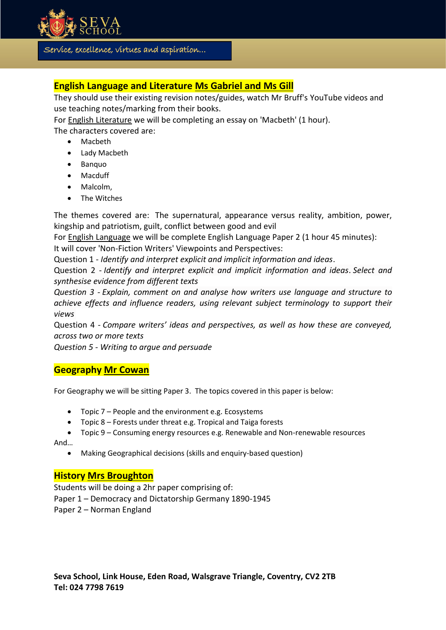

# **English Language and Literature Ms Gabriel and Ms Gill**

They should use their existing revision notes/guides, watch Mr Bruff's YouTube videos and use teaching notes/marking from their books.

s

For English Literature we will be completing an essay on 'Macbeth' (1 hour).

The characters covered are:

- Macbeth
- Lady Macbeth
- Banquo
- Macduff
- Malcolm.
- The Witches

The themes covered are: The supernatural, appearance versus reality, ambition, power, kingship and patriotism, guilt, conflict between good and evil

For English Language we will be complete English Language Paper 2 (1 hour 45 minutes): It will cover 'Non-Fiction Writers' Viewpoints and Perspectives:

Question 1 - *Identify and interpret explicit and implicit information and ideas*.

Question 2 - *Identify and interpret explicit and implicit information and ideas*. *Select and synthesise evidence from different texts*

*Question 3 - Explain, comment on and analyse how writers use language and structure to achieve effects and influence readers, using relevant subject terminology to support their views*

Question 4 - *Compare writers' ideas and perspectives, as well as how these are conveyed, across two or more texts*

*Question 5 - Writing to argue and persuade*

## **Geography Mr Cowan**

For Geography we will be sitting Paper 3. The topics covered in this paper is below:

- Topic 7 People and the environment e.g. Ecosystems
- Topic 8 Forests under threat e.g. Tropical and Taiga forests
- Topic 9 Consuming energy resources e.g. Renewable and Non-renewable resources

And…

• Making Geographical decisions (skills and enquiry-based question)

## **History Mrs Broughton**

Students will be doing a 2hr paper comprising of: Paper 1 – Democracy and Dictatorship Germany 1890-1945

Paper 2 – Norman England